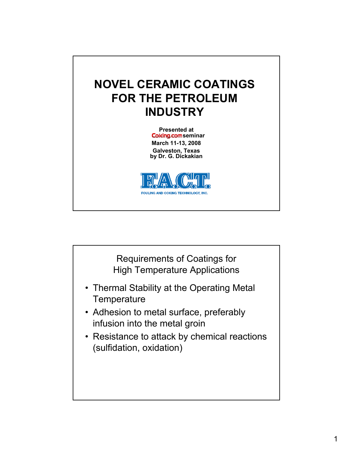## **NOVEL CERAMIC COATINGS FOR THE PETROLEUM INDUSTRY**

**Presented at Coking.com** seminar **March 11-13, 2008 Galveston, Texas by Dr. G. Dickakian**



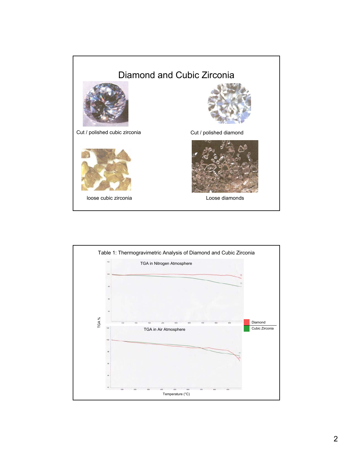

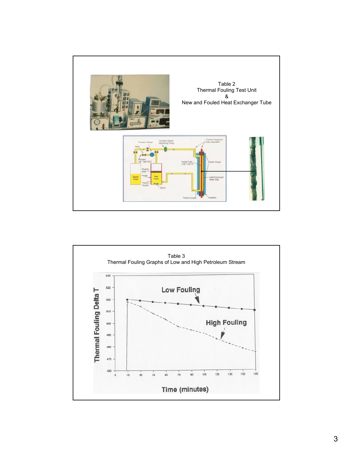

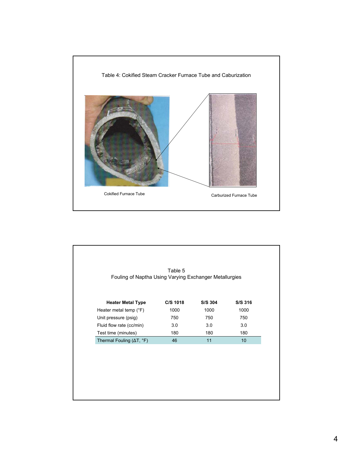

| <b>Heater Metal Type</b> | C/S 1018 | S/S 304 | S/S 316         |
|--------------------------|----------|---------|-----------------|
| Heater metal temp (°F)   | 1000     | 1000    | 1000            |
| Unit pressure (psig)     | 750      | 750     | 750             |
| Fluid flow rate (cc/min) | 3.0      | 3.0     | 3.0             |
| Test time (minutes)      | 180      | 180     | 180             |
| Thermal Fouling (AT, °F) | 46       | 11      | 10 <sup>1</sup> |
|                          |          |         |                 |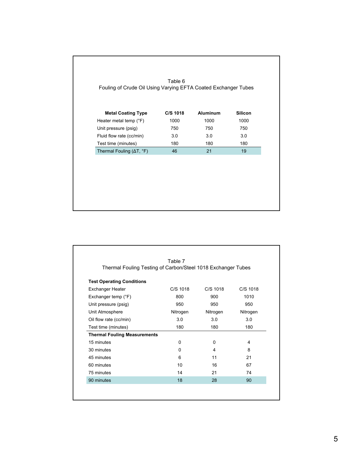| <b>Metal Coating Type</b>                 | C/S 1018 | <b>Aluminum</b> | <b>Silicon</b> |
|-------------------------------------------|----------|-----------------|----------------|
| Heater metal temp (°F)                    | 1000     | 1000            | 1000           |
| Unit pressure (psig)                      | 750      | 750             | 750            |
| Fluid flow rate (cc/min)                  | 3.0      | 3.0             | 3.0            |
| Test time (minutes)                       | 180      | 180             | 180            |
| Thermal Fouling $(\Delta T, {}^{\circ}F)$ | 46       | 21              | 19             |

| Thermal Fouling Testing of Carbon/Steel 1018 Exchanger Tubes |          |            |          |
|--------------------------------------------------------------|----------|------------|----------|
|                                                              |          |            |          |
| <b>Test Operating Conditions</b><br><b>Exchanger Heater</b>  | C/S 1018 | $C/S$ 1018 | C/S 1018 |
| Exchanger temp (°F)                                          | 800      | 900        | 1010     |
| Unit pressure (psig)                                         | 950      | 950        | 950      |
| Unit Atmosphere                                              | Nitrogen | Nitrogen   | Nitrogen |
| Oil flow rate (cc/min)                                       | 3.0      | 3.0        | 3.0      |
| Test time (minutes)                                          | 180      | 180        | 180      |
| <b>Thermal Fouling Measurements</b>                          |          |            |          |
| 15 minutes                                                   | 0        | 0          | 4        |
| 30 minutes                                                   | 0        | 4          | 8        |
| 45 minutes                                                   | 6        | 11         | 21       |
| 60 minutes                                                   | 10       | 16         | 67       |
| 75 minutes                                                   | 14       | 21         | 74       |
| 90 minutes                                                   | 18       | 28         | 90       |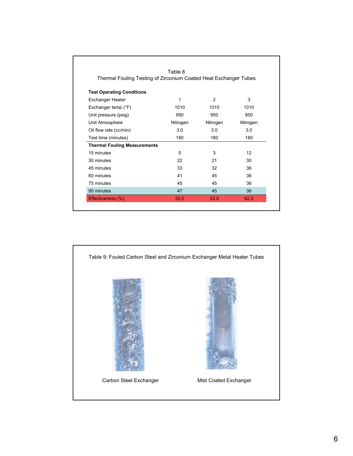| Thermal Fouling Testing of Zirconium Coated Heat Exchanger Tubes |          |          |          |
|------------------------------------------------------------------|----------|----------|----------|
| <b>Test Operating Conditions</b>                                 |          |          |          |
| <b>Exchanger Heater</b>                                          | 1        | 2        | 3        |
| Exchanger temp (°F)                                              | 1010     | 1010     | 1010     |
| Unit pressure (psig)                                             | 950      | 950      | 950      |
| Unit Atmosphere                                                  | Nitrogen | Nitrogen | Nitrogen |
| Oil flow rate (cc/min)                                           | 3.0      | 3.0      | 3.0      |
| Test time (minutes)                                              | 180      | 180      | 180      |
| <b>Thermal Fouling Measurements</b>                              |          |          |          |
| 15 minutes                                                       | 5        | 3        | 12       |
| 30 minutes                                                       | 22       | 21       | 30       |
| 45 minutes                                                       | 33       | 32       | 36       |
| 60 minutes                                                       | 41       | 45       | 36       |
| 75 minutes                                                       | 45       | 45       | 36       |
| 90 minutes                                                       | 47       | 45       | 36       |

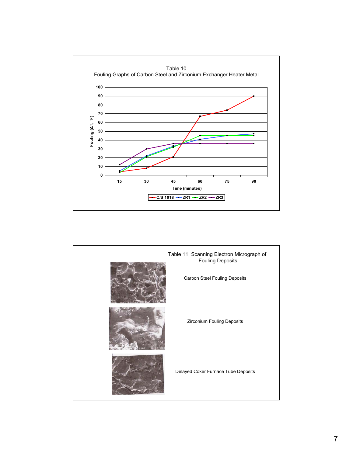

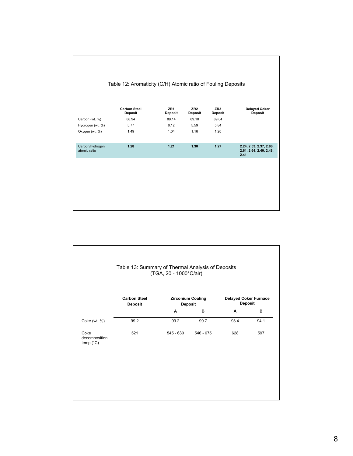|                                 | Table 12: Aromaticity (C/H) Atomic ratio of Fouling Deposits |                                   |                                   |                       |                                                            |
|---------------------------------|--------------------------------------------------------------|-----------------------------------|-----------------------------------|-----------------------|------------------------------------------------------------|
|                                 | <b>Carbon Steel</b><br><b>Deposit</b>                        | ZR <sub>1</sub><br><b>Deposit</b> | ZR <sub>2</sub><br><b>Deposit</b> | ZR3<br><b>Deposit</b> | <b>Delayed Coker</b><br>Deposit                            |
| Carbon (wt. %)                  | 88.94                                                        | 89.14                             | 89.10                             | 89.04                 |                                                            |
| Hydrogen (wt. %)                | 5.77                                                         | 6.12                              | 5.59                              | 5.84                  |                                                            |
| Oxygen (wt. %)                  | 1.49                                                         | 1.04                              | 1.16                              | 1.20                  |                                                            |
| Carbon/hydrogen<br>atomic ratio | 1.28                                                         | 1.21                              | 1.30                              | 1.27                  | 2.24, 2.53, 2.37, 2.66,<br>2.61, 2.64, 2.40, 2.48,<br>2.41 |
|                                 |                                                              |                                   |                                   |                       |                                                            |
|                                 |                                                              |                                   |                                   |                       |                                                            |
|                                 |                                                              |                                   |                                   |                       |                                                            |
|                                 |                                                              |                                   |                                   |                       |                                                            |
|                                 |                                                              |                                   |                                   |                       |                                                            |
|                                 |                                                              |                                   |                                   |                       |                                                            |
|                                 |                                                              |                                   |                                   |                       |                                                            |

|                                             | <b>Carbon Steel</b><br><b>Deposit</b> | <b>Zirconium Coating</b><br>Deposit |             | <b>Delayed Coker Furnace</b><br><b>Deposit</b> |      |
|---------------------------------------------|---------------------------------------|-------------------------------------|-------------|------------------------------------------------|------|
|                                             |                                       | A                                   | в           | A                                              | в    |
| Coke (wt. %)                                | 99.2                                  | 99.2                                | 99.7        | 93.4                                           | 94.1 |
| Coke<br>decomposition<br>temp $(^{\circ}C)$ | 521                                   | $545 - 630$                         | $546 - 675$ | 628                                            | 597  |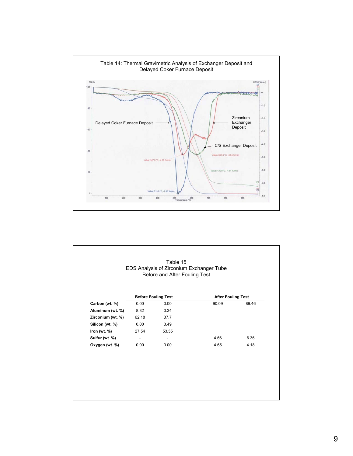

|                   |       | <b>Before Fouling Test</b> | <b>After Fouling Test</b> |       |  |
|-------------------|-------|----------------------------|---------------------------|-------|--|
| Carbon (wt. %)    | 0.00  | 0.00                       | 90.09                     | 89.46 |  |
| Aluminum (wt. %)  | 8.82  | 0.34                       |                           |       |  |
| Zirconium (wt. %) | 62.18 | 37.7                       |                           |       |  |
| Silicon (wt. %)   | 0.00  | 3.49                       |                           |       |  |
| Iron (wt. %)      | 27.54 | 53.35                      |                           |       |  |
| Sulfur (wt. %)    |       |                            | 4.66                      | 6.36  |  |
| Oxygen (wt. %)    | 0.00  | 0.00                       | 4.65                      | 4.18  |  |